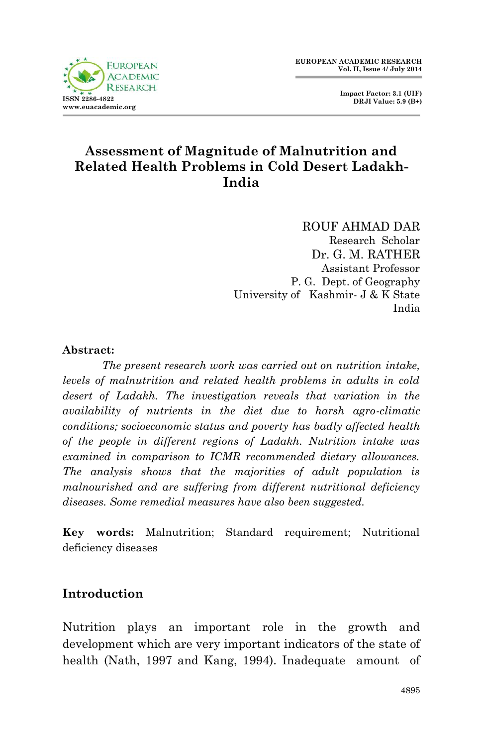

 **Impact Factor: 3.1 (UIF) DRJI Value: 5.9 (B+)**

# **Assessment of Magnitude of Malnutrition and Related Health Problems in Cold Desert Ladakh-India**

ROUF AHMAD DAR Research Scholar Dr. G. M. RATHER Assistant Professor P. G. Dept. of Geography University of Kashmir- J & K State India

## **Abstract:**

*The present research work was carried out on nutrition intake, levels of malnutrition and related health problems in adults in cold*  desert of Ladakh. The investigation reveals that variation in the *availability of nutrients in the diet due to harsh agro-climatic conditions; socioeconomic status and poverty has badly affected health of the people in different regions of Ladakh. Nutrition intake was examined in comparison to ICMR recommended dietary allowances. The analysis shows that the majorities of adult population is malnourished and are suffering from different nutritional deficiency diseases. Some remedial measures have also been suggested.*

**Key words:** Malnutrition; Standard requirement; Nutritional deficiency diseases

# **Introduction**

Nutrition plays an important role in the growth and development which are very important indicators of the state of health (Nath, 1997 and Kang, 1994). Inadequate amount of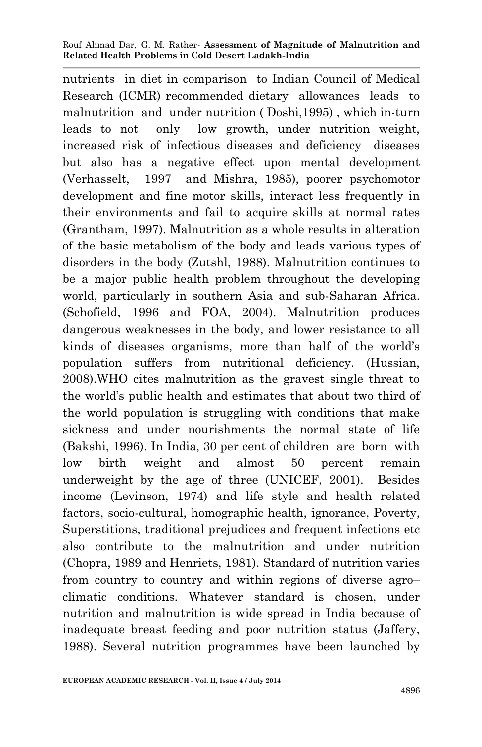nutrients in diet in comparison to Indian Council of Medical Research (ICMR) recommended dietary allowances leads to malnutrition and under nutrition ( Doshi,1995) , which in-turn leads to not only low growth, under nutrition weight, increased risk of infectious diseases and deficiency diseases but also has a negative effect upon mental development (Verhasselt, 1997 and Mishra, 1985), poorer psychomotor development and fine motor skills, interact less frequently in their environments and fail to acquire skills at normal rates (Grantham, 1997). Malnutrition as a whole results in alteration of the basic metabolism of the body and leads various types of disorders in the body (Zutshl, 1988). Malnutrition continues to be a major public health problem throughout the developing world, particularly in southern Asia and sub-Saharan Africa. (Schofield, 1996 and FOA, 2004). Malnutrition produces dangerous weaknesses in the body, and lower resistance to all kinds of diseases organisms, more than half of the world's population suffers from nutritional deficiency. (Hussian, 2008).WHO cites malnutrition as the gravest single threat to the world's public health and estimates that about two third of the world population is struggling with conditions that make sickness and under nourishments the normal state of life (Bakshi, 1996). In India, 30 per cent of children are born with low birth weight and almost 50 percent remain underweight by the age of three (UNICEF, 2001). Besides income (Levinson, 1974) and life style and health related factors, socio-cultural, homographic health, ignorance, Poverty, Superstitions, traditional prejudices and frequent infections etc also contribute to the malnutrition and under nutrition (Chopra, 1989 and Henriets, 1981). Standard of nutrition varies from country to country and within regions of diverse agro– climatic conditions. Whatever standard is chosen, under nutrition and malnutrition is wide spread in India because of inadequate breast feeding and poor nutrition status (Jaffery, 1988). Several nutrition programmes have been launched by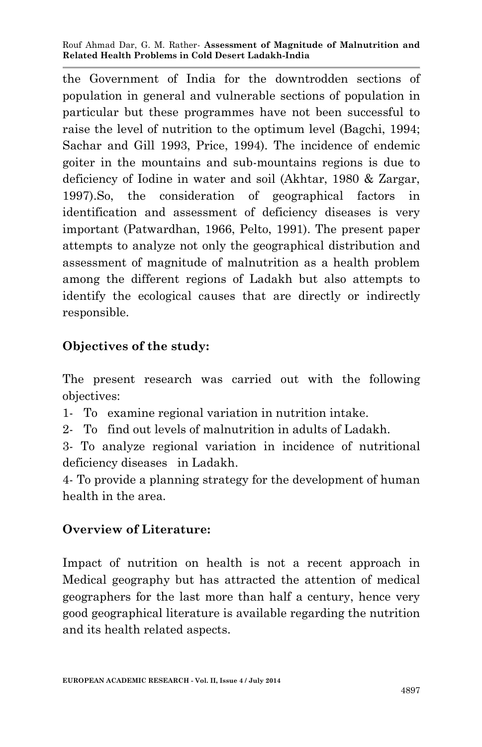the Government of India for the downtrodden sections of population in general and vulnerable sections of population in particular but these programmes have not been successful to raise the level of nutrition to the optimum level (Bagchi, 1994; Sachar and Gill 1993, Price, 1994). The incidence of endemic goiter in the mountains and sub-mountains regions is due to deficiency of Iodine in water and soil (Akhtar, 1980 & Zargar, 1997).So, the consideration of geographical factors in identification and assessment of deficiency diseases is very important (Patwardhan, 1966, Pelto, 1991). The present paper attempts to analyze not only the geographical distribution and assessment of magnitude of malnutrition as a health problem among the different regions of Ladakh but also attempts to identify the ecological causes that are directly or indirectly responsible.

# **Objectives of the study:**

The present research was carried out with the following objectives:

- 1- To examine regional variation in nutrition intake.
- 2- To find out levels of malnutrition in adults of Ladakh.
- 3- To analyze regional variation in incidence of nutritional deficiency diseases in Ladakh.
- 4- To provide a planning strategy for the development of human health in the area.

## **Overview of Literature:**

Impact of nutrition on health is not a recent approach in Medical geography but has attracted the attention of medical geographers for the last more than half a century, hence very good geographical literature is available regarding the nutrition and its health related aspects.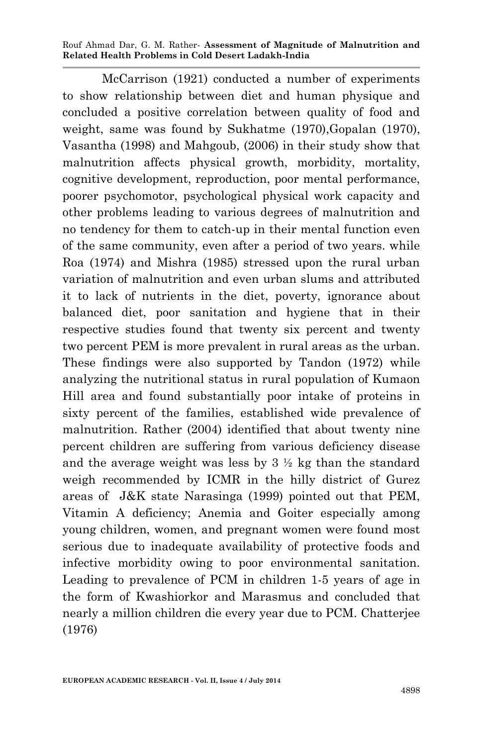McCarrison (1921) conducted a number of experiments to show relationship between diet and human physique and concluded a positive correlation between quality of food and weight, same was found by Sukhatme (1970),Gopalan (1970), Vasantha (1998) and Mahgoub, (2006) in their study show that malnutrition affects physical growth, morbidity, mortality, cognitive development, reproduction, poor mental performance, poorer psychomotor, psychological physical work capacity and other problems leading to various degrees of malnutrition and no tendency for them to catch-up in their mental function even of the same community, even after a period of two years. while Roa (1974) and Mishra (1985) stressed upon the rural urban variation of malnutrition and even urban slums and attributed it to lack of nutrients in the diet, poverty, ignorance about balanced diet, poor sanitation and hygiene that in their respective studies found that twenty six percent and twenty two percent PEM is more prevalent in rural areas as the urban. These findings were also supported by Tandon (1972) while analyzing the nutritional status in rural population of Kumaon Hill area and found substantially poor intake of proteins in sixty percent of the families, established wide prevalence of malnutrition. Rather (2004) identified that about twenty nine percent children are suffering from various deficiency disease and the average weight was less by  $3 \frac{1}{2}$  kg than the standard weigh recommended by ICMR in the hilly district of Gurez areas of J&K state Narasinga (1999) pointed out that PEM, Vitamin A deficiency; Anemia and Goiter especially among young children, women, and pregnant women were found most serious due to inadequate availability of protective foods and infective morbidity owing to poor environmental sanitation. Leading to prevalence of PCM in children 1-5 years of age in the form of Kwashiorkor and Marasmus and concluded that nearly a million children die every year due to PCM. Chatterjee (1976)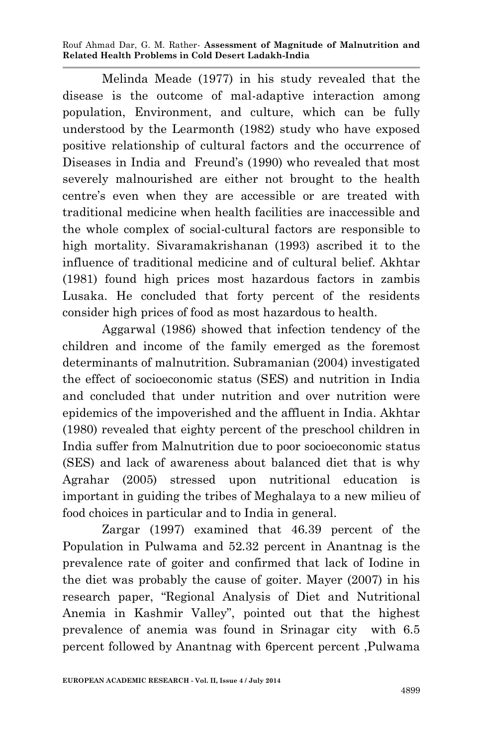Melinda Meade (1977) in his study revealed that the disease is the outcome of mal-adaptive interaction among population, Environment, and culture, which can be fully understood by the Learmonth (1982) study who have exposed positive relationship of cultural factors and the occurrence of Diseases in India and Freund's (1990) who revealed that most severely malnourished are either not brought to the health centre's even when they are accessible or are treated with traditional medicine when health facilities are inaccessible and the whole complex of social-cultural factors are responsible to high mortality. Sivaramakrishanan (1993) ascribed it to the influence of traditional medicine and of cultural belief. Akhtar (1981) found high prices most hazardous factors in zambis Lusaka. He concluded that forty percent of the residents consider high prices of food as most hazardous to health.

Aggarwal (1986) showed that infection tendency of the children and income of the family emerged as the foremost determinants of malnutrition. Subramanian (2004) investigated the effect of socioeconomic status (SES) and nutrition in India and concluded that under nutrition and over nutrition were epidemics of the impoverished and the affluent in India. Akhtar (1980) revealed that eighty percent of the preschool children in India suffer from Malnutrition due to poor socioeconomic status (SES) and lack of awareness about balanced diet that is why Agrahar (2005) stressed upon nutritional education is important in guiding the tribes of Meghalaya to a new milieu of food choices in particular and to India in general.

Zargar (1997) examined that 46.39 percent of the Population in Pulwama and 52.32 percent in Anantnag is the prevalence rate of goiter and confirmed that lack of Iodine in the diet was probably the cause of goiter. Mayer (2007) in his research paper, "Regional Analysis of Diet and Nutritional Anemia in Kashmir Valley", pointed out that the highest prevalence of anemia was found in Srinagar city with 6.5 percent followed by Anantnag with 6percent percent ,Pulwama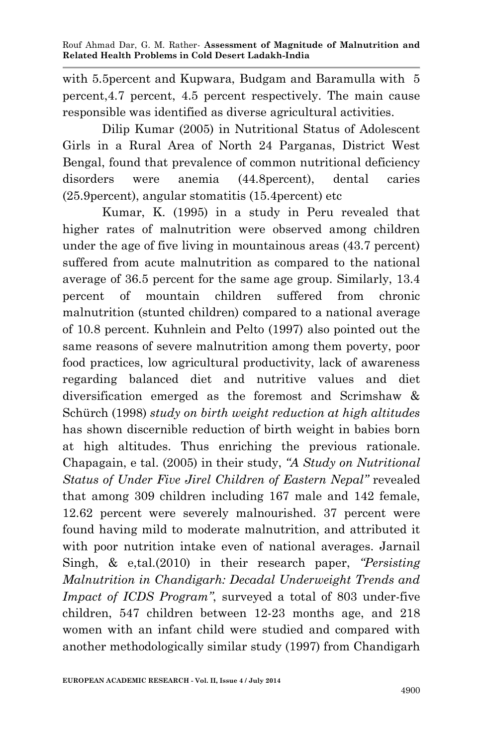with 5.5percent and Kupwara, Budgam and Baramulla with 5 percent,4.7 percent, 4.5 percent respectively. The main cause responsible was identified as diverse agricultural activities.

Dilip Kumar (2005) in Nutritional Status of Adolescent Girls in a Rural Area of North 24 Parganas, District West Bengal, found that prevalence of common nutritional deficiency disorders were anemia (44.8percent), dental caries (25.9percent), angular stomatitis (15.4percent) etc

Kumar, K. (1995) in a study in Peru revealed that higher rates of malnutrition were observed among children under the age of five living in mountainous areas (43.7 percent) suffered from acute malnutrition as compared to the national average of 36.5 percent for the same age group. Similarly, 13.4 percent of mountain children suffered from chronic malnutrition (stunted children) compared to a national average of 10.8 percent. Kuhnlein and Pelto (1997) also pointed out the same reasons of severe malnutrition among them poverty, poor food practices, low agricultural productivity, lack of awareness regarding balanced diet and nutritive values and diet diversification emerged as the foremost and Scrimshaw & Schürch (1998) *study on birth weight reduction at high altitudes* has shown discernible reduction of birth weight in babies born at high altitudes. Thus enriching the previous rationale. Chapagain, e tal. (2005) in their study, *"A Study on Nutritional Status of Under Five Jirel Children of Eastern Nepal"* revealed that among 309 children including 167 male and 142 female, 12.62 percent were severely malnourished. 37 percent were found having mild to moderate malnutrition, and attributed it with poor nutrition intake even of national averages. Jarnail Singh, & e,tal.(2010) in their research paper, *"Persisting Malnutrition in Chandigarh: Decadal Underweight Trends and Impact of ICDS Program"*, surveyed a total of 803 under-five children, 547 children between 12-23 months age, and 218 women with an infant child were studied and compared with another methodologically similar study (1997) from Chandigarh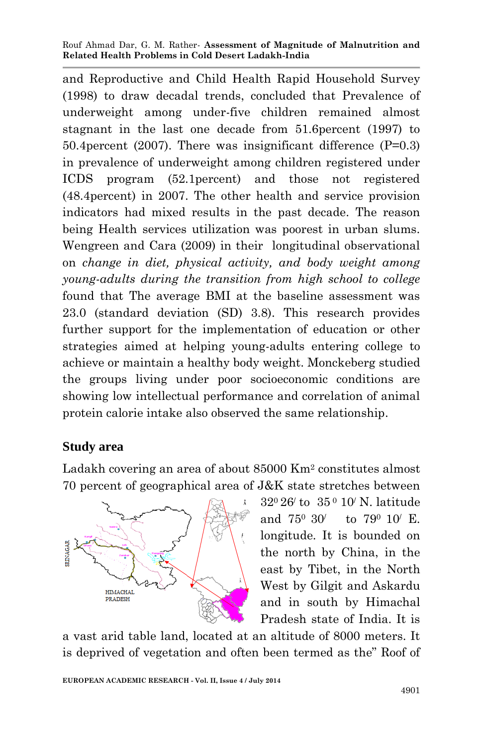and Reproductive and Child Health Rapid Household Survey (1998) to draw decadal trends, concluded that Prevalence of underweight among under-five children remained almost stagnant in the last one decade from 51.6percent (1997) to 50.4percent (2007). There was insignificant difference (P=0.3) in prevalence of underweight among children registered under ICDS program (52.1percent) and those not registered (48.4percent) in 2007. The other health and service provision indicators had mixed results in the past decade. The reason being Health services utilization was poorest in urban slums. Wengreen and Cara (2009) in their longitudinal observational on *change in diet, physical activity, and body weight among young-adults during the transition from high school to college*  found that The average BMI at the baseline assessment was 23.0 (standard deviation (SD) 3.8). This research provides further support for the implementation of education or other strategies aimed at helping young-adults entering college to achieve or maintain a healthy body weight. Monckeberg studied the groups living under poor socioeconomic conditions are showing low intellectual performance and correlation of animal protein calorie intake also observed the same relationship.

## **Study area**

Ladakh covering an area of about 85000 Km<sup>2</sup> constitutes almost 70 percent of geographical area of J&K state stretches between



320 26/ to 35 <sup>0</sup> 10/ N. latitude and 750 30/ to 790 10/ E. longitude. It is bounded on the north by China, in the east by Tibet, in the North West by Gilgit and Askardu and in south by Himachal Pradesh state of India. It is

a vast arid table land, located at an altitude of 8000 meters. It is deprived of vegetation and often been termed as the" Roof of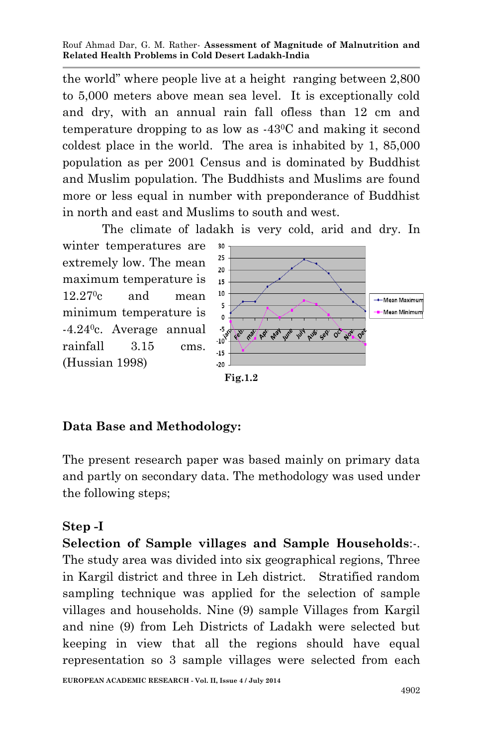the world" where people live at a height ranging between 2,800 to 5,000 meters above mean sea level. It is exceptionally cold and dry, with an annual rain fall ofless than 12 cm and temperature dropping to as low as -430C and making it second coldest place in the world. The area is inhabited by 1, 85,000 population as per 2001 Census and is dominated by Buddhist and Muslim population. The Buddhists and Muslims are found more or less equal in number with preponderance of Buddhist in north and east and Muslims to south and west.

The climate of ladakh is very cold, arid and dry. In

winter temperatures are extremely low. The mean maximum temperature is  $12.27$ <sup>o</sup>c and mean minimum temperature is -4.240c. Average annual rainfall 3.15 cms. (Hussian 1998)



**Fig.1.2**

## **Data Base and Methodology:**

The present research paper was based mainly on primary data and partly on secondary data. The methodology was used under the following steps;

## **Step -I**

**Selection of Sample villages and Sample Households**:-. The study area was divided into six geographical regions, Three in Kargil district and three in Leh district. Stratified random sampling technique was applied for the selection of sample villages and households. Nine (9) sample Villages from Kargil and nine (9) from Leh Districts of Ladakh were selected but keeping in view that all the regions should have equal representation so 3 sample villages were selected from each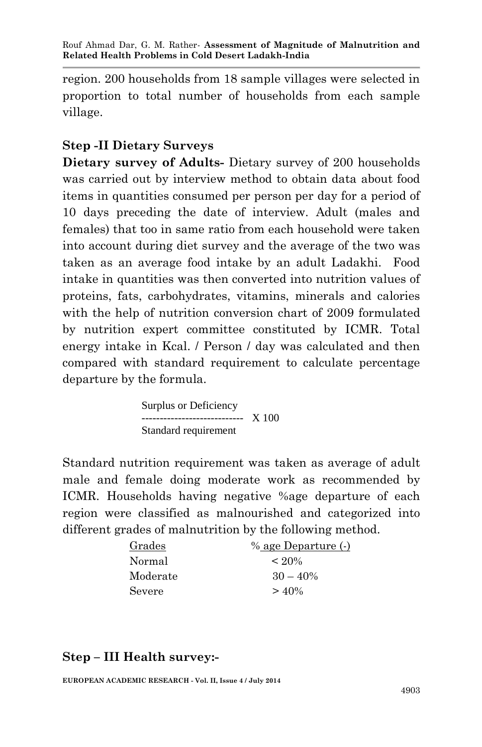region. 200 households from 18 sample villages were selected in proportion to total number of households from each sample village.

## **Step -II Dietary Surveys**

**Dietary survey of Adults-** Dietary survey of 200 households was carried out by interview method to obtain data about food items in quantities consumed per person per day for a period of 10 days preceding the date of interview. Adult (males and females) that too in same ratio from each household were taken into account during diet survey and the average of the two was taken as an average food intake by an adult Ladakhi. Food intake in quantities was then converted into nutrition values of proteins, fats, carbohydrates, vitamins, minerals and calories with the help of nutrition conversion chart of 2009 formulated by nutrition expert committee constituted by ICMR. Total energy intake in Kcal. / Person / day was calculated and then compared with standard requirement to calculate percentage departure by the formula.

> Surplus or Deficiency ---------------------------- X 100 Standard requirement

Standard nutrition requirement was taken as average of adult male and female doing moderate work as recommended by ICMR. Households having negative %age departure of each region were classified as malnourished and categorized into different grades of malnutrition by the following method.

| Grades   | % age Departure (-) |
|----------|---------------------|
| Normal   | $< 20\%$            |
| Moderate | $30 - 40\%$         |
| Severe   | $> 40\%$            |

## **Step – III Health survey:-**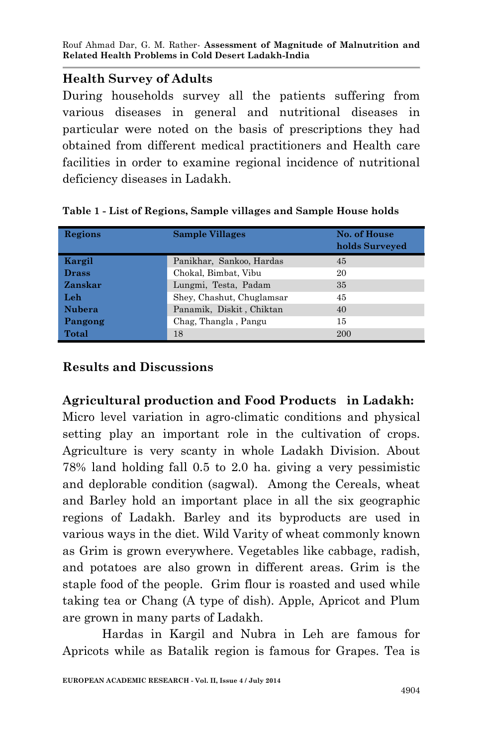# **Health Survey of Adults**

During households survey all the patients suffering from various diseases in general and nutritional diseases in particular were noted on the basis of prescriptions they had obtained from different medical practitioners and Health care facilities in order to examine regional incidence of nutritional deficiency diseases in Ladakh.

| Regions      | <b>Sample Villages</b>    | No. of House<br>holds Surveyed |
|--------------|---------------------------|--------------------------------|
| Kargil       | Panikhar, Sankoo, Hardas  | 45                             |
| <b>Drass</b> | Chokal, Bimbat, Vibu      | 20                             |
| Zanskar      | Lungmi, Testa, Padam      | 35                             |
| Leh          | Shey, Chashut, Chuglamsar | 45                             |
| Nubera       | Panamik, Diskit, Chiktan  | 40                             |
| Pangong      | Chag, Thangla, Pangu      | 15                             |
| Total        | 18                        | <b>200</b>                     |

## **Table 1 - List of Regions, Sample villages and Sample House holds**

# **Results and Discussions**

**Agricultural production and Food Products in Ladakh:** Micro level variation in agro-climatic conditions and physical setting play an important role in the cultivation of crops. Agriculture is very scanty in whole Ladakh Division. About 78% land holding fall 0.5 to 2.0 ha. giving a very pessimistic and deplorable condition (sagwal). Among the Cereals, wheat and Barley hold an important place in all the six geographic regions of Ladakh. Barley and its byproducts are used in various ways in the diet. Wild Varity of wheat commonly known as Grim is grown everywhere. Vegetables like cabbage, radish, and potatoes are also grown in different areas. Grim is the staple food of the people. Grim flour is roasted and used while taking tea or Chang (A type of dish). Apple, Apricot and Plum are grown in many parts of Ladakh.

Hardas in Kargil and Nubra in Leh are famous for Apricots while as Batalik region is famous for Grapes. Tea is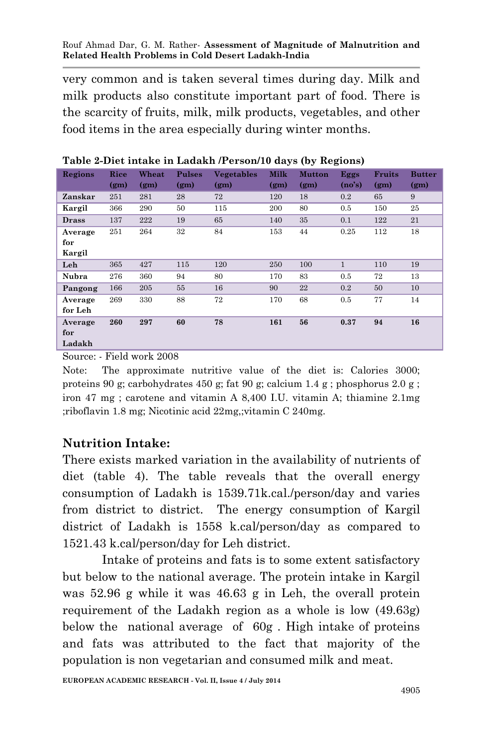very common and is taken several times during day. Milk and milk products also constitute important part of food. There is the scarcity of fruits, milk, milk products, vegetables, and other food items in the area especially during winter months.

| Regions      | Rice              | Wheat             | <b>Pulses</b>     | <b>Vegetables</b> | <b>Milk</b>       | <b>Mutton</b>     | Eggs         | <b>Fruits</b>     | <b>Butter</b>     |
|--------------|-------------------|-------------------|-------------------|-------------------|-------------------|-------------------|--------------|-------------------|-------------------|
|              | (g <sub>m</sub> ) | (g <sub>m</sub> ) | (g <sub>m</sub> ) | (g <sub>m</sub> ) | (g <sub>m</sub> ) | (g <sub>m</sub> ) | (no's)       | (g <sub>m</sub> ) | (g <sub>m</sub> ) |
| Zanskar      | 251               | 281               | 28                | 72                | 120               | 18                | 0.2          | 65                | 9                 |
| Kargil       | 366               | 290               | 50                | 115               | 200               | 80                | 0.5          | 150               | 25                |
| <b>Drass</b> | 137               | 222               | 19                | 65                | 140               | 35                | 0.1          | 122               | 21                |
| Average      | 251               | 264               | 32                | 84                | 153               | 44                | 0.25         | 112               | 18                |
| for          |                   |                   |                   |                   |                   |                   |              |                   |                   |
| Kargil       |                   |                   |                   |                   |                   |                   |              |                   |                   |
| Leh          | 365               | 427               | 115               | 120               | 250               | 100               | $\mathbf{1}$ | 110               | 19                |
| Nubra        | 276               | 360               | 94                | 80                | 170               | 83                | 0.5          | 72                | 13                |
| Pangong      | 166               | 205               | 55                | 16                | 90                | 22                | 0.2          | 50                | 10                |
| Average      | 269               | 330               | 88                | 72                | 170               | 68                | 0.5          | 77                | 14                |
| for Leh      |                   |                   |                   |                   |                   |                   |              |                   |                   |
| Average      | 260               | 297               | 60                | 78                | 161               | 56                | 0.37         | 94                | 16                |
| for          |                   |                   |                   |                   |                   |                   |              |                   |                   |
| Ladakh       |                   |                   |                   |                   |                   |                   |              |                   |                   |

**Table 2-Diet intake in Ladakh /Person/10 days (by Regions)**

Source: - Field work 2008

Note: The approximate nutritive value of the diet is: Calories 3000; proteins 90 g; carbohydrates 450 g; fat 90 g; calcium 1.4 g; phosphorus 2.0 g; iron 47 mg ; carotene and vitamin A 8,400 I.U. vitamin A; thiamine 2.1mg ;riboflavin 1.8 mg; Nicotinic acid 22mg,;vitamin C 240mg.

# **Nutrition Intake:**

There exists marked variation in the availability of nutrients of diet (table 4). The table reveals that the overall energy consumption of Ladakh is 1539.71k.cal./person/day and varies from district to district. The energy consumption of Kargil district of Ladakh is 1558 k.cal/person/day as compared to 1521.43 k.cal/person/day for Leh district.

Intake of proteins and fats is to some extent satisfactory but below to the national average. The protein intake in Kargil was 52.96 g while it was 46.63 g in Leh, the overall protein requirement of the Ladakh region as a whole is low (49.63g) below the national average of 60g . High intake of proteins and fats was attributed to the fact that majority of the population is non vegetarian and consumed milk and meat.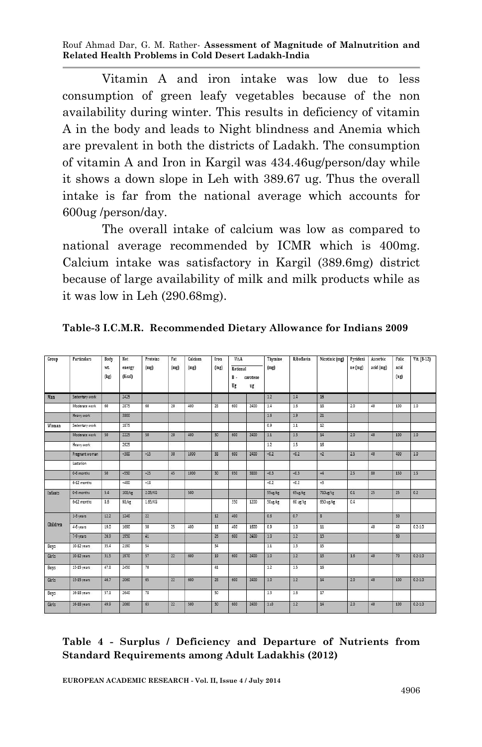Vitamin A and iron intake was low due to less consumption of green leafy vegetables because of the non availability during winter. This results in deficiency of vitamin A in the body and leads to Night blindness and Anemia which are prevalent in both the districts of Ladakh. The consumption of vitamin A and Iron in Kargil was 434.46ug/person/day while it shows a down slope in Leh with 389.67 ug. Thus the overall intake is far from the national average which accounts for 600ug /person/day.

The overall intake of calcium was low as compared to national average recommended by ICMR which is 400mg. Calcium intake was satisfactory in Kargil (389.6mg) district because of large availability of milk and milk products while as it was low in Leh (290.68mg).

| Group       | <b>Particulars</b> | Body        | Net              | Proteins | Fat             | Calcium | Iron | <b>Vit.A</b>          |                | Thymine                         | Riboflavin | Nicotinic (mg)       | Pyridoxi | Ascorbic  | Folic        | Vit. (B-12) |
|-------------|--------------------|-------------|------------------|----------|-----------------|---------|------|-----------------------|----------------|---------------------------------|------------|----------------------|----------|-----------|--------------|-------------|
|             |                    | wt.<br>(kg) | energy<br>(Kcal) | (mg)     | (mg)            | (mg)    | (mg) | Retional<br>B .<br>Ug | carotene<br>ug | (mg)                            |            |                      | ne (mg)  | acid (mg) | acid<br>(ug) |             |
| Man         | Sedentary work     |             | 2425             |          |                 |         |      |                       |                | 12                              | 14         | 16                   |          |           |              |             |
|             | Moderate work      | 60          | 2875             | 60       | 20              | 400     | 28   | 600                   | 2400           | 14                              | 1.6        | 18                   | 2.0      | 40        | 100          | 1.0         |
|             | Heavy work         |             | 3800             |          |                 |         |      |                       |                | 1.6                             | 19         | 21                   |          |           |              |             |
| Woman       | Sedentary work     |             | 1875             |          |                 |         |      |                       |                | 0.9                             | 1.1        | 12                   |          |           |              |             |
|             | Moderate work      | 50          | 2225             | 50       | 20              | 400     | 30   | 600                   | 2400           | 11                              | 13         | 14                   | 20       | 40        | 100          | 10          |
|             | Heavy work         |             | 2925             |          |                 |         |      |                       |                | 1.2                             | 1.5        | 16                   |          |           |              |             |
|             | Pregnant woman     |             | $+300$           | $+15$    | 30              | 1000    | 38   | 600                   | 2400           | $+0.2$                          | $+0.2$     | $+2$                 | 2.5      | 40        | 400          | 1.0         |
|             | Lactation          |             |                  |          |                 |         |      |                       |                |                                 |            |                      |          |           |              |             |
|             | 0-6 months         | 50          | $+550$           | $+25$    | 45              | 1000    | 30   | 950                   | 3800           | $+0.3$                          | $+0.3$     | $+4$                 | 25       | 80        | 150          | 1.5         |
|             | 6-12 months        |             | $+400$           | $+18$    |                 |         |      |                       |                | $+0.2$                          | $+0.2$     | $+3$                 |          |           |              |             |
| Infants     | 0-6 months         | 5.4         | $108/k$ g        | 2.05/KG  |                 | 500     |      |                       |                | 55ug/kg                         | $65u$ g/kg | 710 <sub>ug/kg</sub> | 0.1      | 25        | 25           | 0.2         |
|             | 6-12 months        | 8.6         | 98/kg            | 1.65/KG  |                 |         |      | 350                   | 1200           | $50\frac{\text{kg}}{\text{kg}}$ | 60 ug/kg   | 650 ug/kg            | 0.4      |           |              |             |
|             | 1-3 years          | 12.2        | 1240             | 22       |                 |         | 12   | 400                   |                | 0.6                             | 0.7        | $\delta$             |          |           | 30           |             |
| Children    | 4-6 years          | 19.0        | 1690             | 30       | 25              | 400     | 18   | 400                   | 1600           | 0.9                             | 1.0        | 11                   |          | 40        | 40           | $0.2 - 1.0$ |
|             | 7-9 years          | 26.9        | 1950             | 41       |                 |         | 26   | 600                   | 2400           | 10                              | 12         | 13                   |          |           | 60           |             |
| <b>Boys</b> | 10-12 years        | 35.4        | 2190             | 54       |                 |         | 34   |                       |                | 11                              | 13         | $\overline{15}$      |          |           |              |             |
| Girls       | 10-12 years        | 31.5        | 1970             | 57       | $\overline{22}$ | 600     | 19   | 600                   | 2400           | 10                              | 12         | 13                   | 16       | 40        | 70           | $0.2 - 1.0$ |
| <b>Boys</b> | 13-15 years        | 47.8        | 2450             | 70       |                 |         | 41   |                       |                | 12                              | 15         | 16                   |          |           |              |             |
| Girls       | 13-15 years        | 46.7        | 2060             | 65       | $\overline{22}$ | 600     | 28   | 600                   | 2400           | 10                              | 1.2        | 14                   | 20       | 40        | 100          | $0.2 - 1.0$ |
| <b>Boys</b> | 16-18 years        | 57.1        | 2640             | 78       |                 |         | 50   |                       |                | 13                              | 1.6        | $\overline{17}$      |          |           |              |             |
| Girls       | 16-18 years        | 49.9        | 2060             | 63       | 22              | 500     | 30   | 600                   | 2400           | 1:0                             | 1.2        | 14                   | 20       | 40        | 100          | $0.2 - 1.0$ |

**Table-3 I.C.M.R. Recommended Dietary Allowance for Indians 2009**

#### **Table 4 - Surplus / Deficiency and Departure of Nutrients from Standard Requirements among Adult Ladakhis (2012)**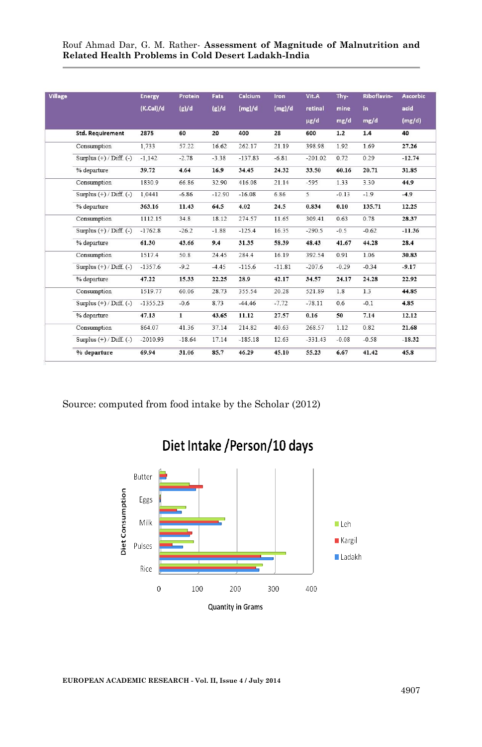| <b>Village</b> |                             | <b>Energy</b> | Protein  | Fats     | <b>Calcium</b> | <b>Iron</b> | Vit.A     | Thy-    | Riboflavin- | <b>Ascorbic</b> |
|----------------|-----------------------------|---------------|----------|----------|----------------|-------------|-----------|---------|-------------|-----------------|
|                |                             | (K.CaI)/d     | (g)/d    | (g)/d    | (mg)/d         | (mg)/d      | retinal   | mine    | in          | acid            |
|                |                             |               |          |          |                |             | $\mu$ g/d | mg/d    | mg/d        | (mg/d)          |
|                | <b>Std. Requirement</b>     | 2875          | 60       | 20       | 400            | 28          | 600       | 1.2     | 1.4         | 40              |
|                | Consumption                 | 1.733         | 57.22    | 16.62    | 262.17         | 21.19       | 398.98    | 1.92    | 1.69        | 27.26           |
|                | Surplus $(+)$ / Diff. $(-)$ | $-1,142$      | $-2.78$  | $-3.38$  | $-137.83$      | $-6.81$     | $-201.02$ | 0.72    | 0.29        | $-12.74$        |
|                | % departure                 | 39.72         | 4.64     | 16.9     | 34.45          | 24.32       | 33.50     | 60.16   | 20.71       | 31.85           |
|                | Consumption                 | 1830.9        | 66.86    | 32.90    | 416.08         | 21.14       | $-595$    | 1.33    | 3.30        | 44.9            |
|                | Surplus $(+)$ / Diff. $(-)$ | 1.0441        | $-6.86$  | $-12.90$ | $-16.08$       | 6.86        | 5         | $-0.13$ | $-1.9$      | $-4.9$          |
|                | % departure                 | 363.16        | 11.43    | 64.5     | 4.02           | 24.5        | 0.834     | 0.10    | 135.71      | 12.25           |
|                | Consumption                 | 1112.15       | 34.8     | 18.12    | 274.57         | 11.65       | 309.41    | 0.63    | 0.78        | 28.37           |
|                | Surplus $(+)$ / Diff. $(-)$ | $-1762.8$     | $-26.2$  | $-1.88$  | $-125.4$       | 16.35       | $-290.5$  | $-0.5$  | $-0.62$     | $-11.36$        |
|                | % departure                 | 61.30         | 43.66    | 9.4      | 31.35          | 58.39       | 48.43     | 41.67   | 44.28       | 28.4            |
|                | Consumption                 | 1517.4        | 50.8     | 24.45    | 284.4          | 16.19       | 392.54    | 0.91    | 1.06        | 30.83           |
|                | Surplus $(+)$ / Diff. $(-)$ | $-1357.6$     | $-9.2$   | $-4.45$  | $-115.6$       | $-11.81$    | $-207.6$  | $-0.29$ | $-0.34$     | $-9.17$         |
|                | % departure                 | 47.22         | 15.33    | 22.25    | 28.9           | 42.17       | 34.57     | 24.17   | 24.28       | 22.92           |
|                | Consumption                 | 1519.77       | 60.06    | 28.73    | 355.54         | 20.28       | 521.89    | 1.8     | 1.3         | 44.85           |
|                | Surplus $(+)$ / Diff. $(-)$ | $-1355.23$    | $-0.6$   | 8.73     | $-44.46$       | $-7.72$     | $-78.11$  | 0.6     | $-0.1$      | 4.85            |
|                | % departure                 | 47.13         | 1        | 43.65    | 11.12          | 27.57       | 0.16      | 50      | 7.14        | 12.12           |
|                | Consumption                 | 864.07        | 41.36    | 37.14    | 214.82         | 40.63       | 268.57    | 1.12    | 0.82        | 21.68           |
|                | Surplus $(+)$ / Diff. $(-)$ | $-2010.93$    | $-18.64$ | 17.14    | $-185.18$      | 12.63       | $-331.43$ | $-0.08$ | $-0.58$     | $-18.32$        |
|                | % departure                 | 69.94         | 31.06    | 85.7     | 46.29          | 45.10       | 55.23     | 6.67    | 41.42       | 45.8            |

Source: computed from food intake by the Scholar (2012)



# Diet Intake / Person/10 days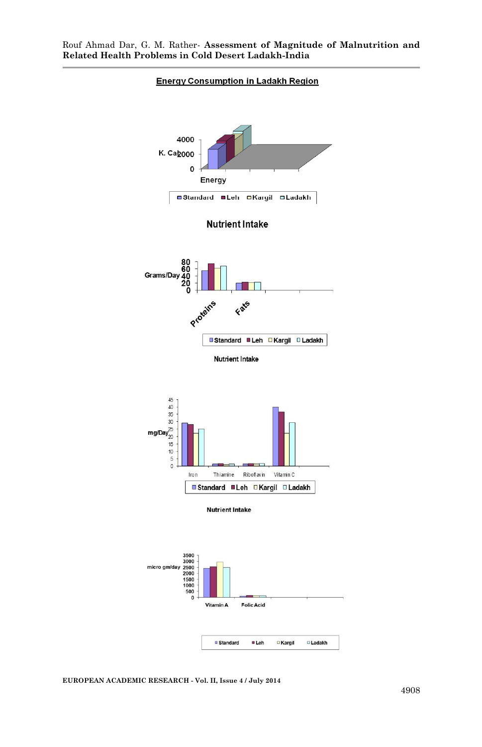

#### **Energy Consumption in Ladakh Region**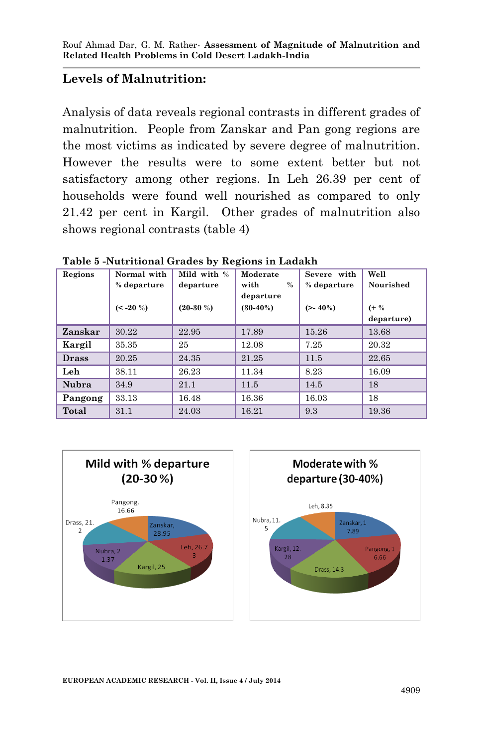# **Levels of Malnutrition:**

Analysis of data reveals regional contrasts in different grades of malnutrition. People from Zanskar and Pan gong regions are the most victims as indicated by severe degree of malnutrition. However the results were to some extent better but not satisfactory among other regions. In Leh 26.39 per cent of households were found well nourished as compared to only 21.42 per cent in Kargil. Other grades of malnutrition also shows regional contrasts (table 4)

| Regions      | Normal with | Mild with % | Moderate     | Severe with | Well       |
|--------------|-------------|-------------|--------------|-------------|------------|
|              | % departure | departure   | $\%$<br>with | % departure | Nourished  |
|              |             |             | departure    |             |            |
|              | $(< -20$ %) | $(20-30\%)$ | $(30-40%)$   | $(>-40\%)$  | $(+\%$     |
|              |             |             |              |             | departure) |
| Zanskar      | 30.22       | 22.95       | 17.89        | 15.26       | 13.68      |
| Kargil       | 35.35       | 25          | 12.08        | 7.25        | 20.32      |
| <b>Drass</b> | 20.25       | 24.35       | 21.25        | 11.5        | 22.65      |
| Leh          | 38.11       | 26.23       | 11.34        | 8.23        | 16.09      |
| Nubra        | 34.9        | 21.1        | 11.5         | 14.5        | 18         |
| Pangong      | 33.13       | 16.48       | 16.36        | 16.03       | 18         |
| Total        | 31.1        | 24.03       | 16.21        | 9.3         | 19.36      |

**Table 5 -Nutritional Grades by Regions in Ladakh**

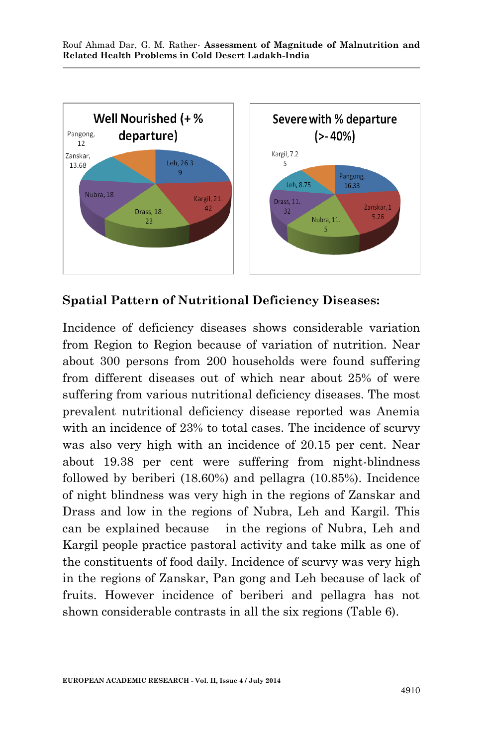

**Spatial Pattern of Nutritional Deficiency Diseases:**

Incidence of deficiency diseases shows considerable variation from Region to Region because of variation of nutrition. Near about 300 persons from 200 households were found suffering from different diseases out of which near about 25% of were suffering from various nutritional deficiency diseases. The most prevalent nutritional deficiency disease reported was Anemia with an incidence of 23% to total cases. The incidence of scurvy was also very high with an incidence of 20.15 per cent. Near about 19.38 per cent were suffering from night-blindness followed by beriberi (18.60%) and pellagra (10.85%). Incidence of night blindness was very high in the regions of Zanskar and Drass and low in the regions of Nubra, Leh and Kargil. This can be explained because in the regions of Nubra, Leh and Kargil people practice pastoral activity and take milk as one of the constituents of food daily. Incidence of scurvy was very high in the regions of Zanskar, Pan gong and Leh because of lack of fruits. However incidence of beriberi and pellagra has not shown considerable contrasts in all the six regions (Table 6).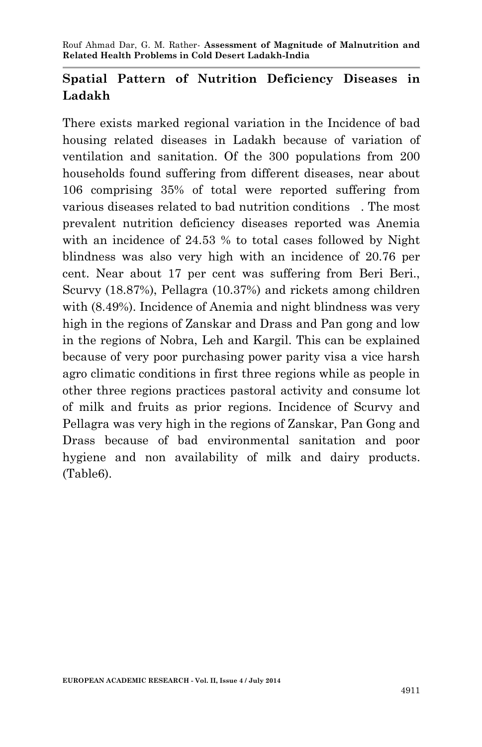# **Spatial Pattern of Nutrition Deficiency Diseases in Ladakh**

There exists marked regional variation in the Incidence of bad housing related diseases in Ladakh because of variation of ventilation and sanitation. Of the 300 populations from 200 households found suffering from different diseases, near about 106 comprising 35% of total were reported suffering from various diseases related to bad nutrition conditions . The most prevalent nutrition deficiency diseases reported was Anemia with an incidence of 24.53 % to total cases followed by Night blindness was also very high with an incidence of 20.76 per cent. Near about 17 per cent was suffering from Beri Beri., Scurvy (18.87%), Pellagra (10.37%) and rickets among children with (8.49%). Incidence of Anemia and night blindness was very high in the regions of Zanskar and Drass and Pan gong and low in the regions of Nobra, Leh and Kargil. This can be explained because of very poor purchasing power parity visa a vice harsh agro climatic conditions in first three regions while as people in other three regions practices pastoral activity and consume lot of milk and fruits as prior regions. Incidence of Scurvy and Pellagra was very high in the regions of Zanskar, Pan Gong and Drass because of bad environmental sanitation and poor hygiene and non availability of milk and dairy products. (Table6).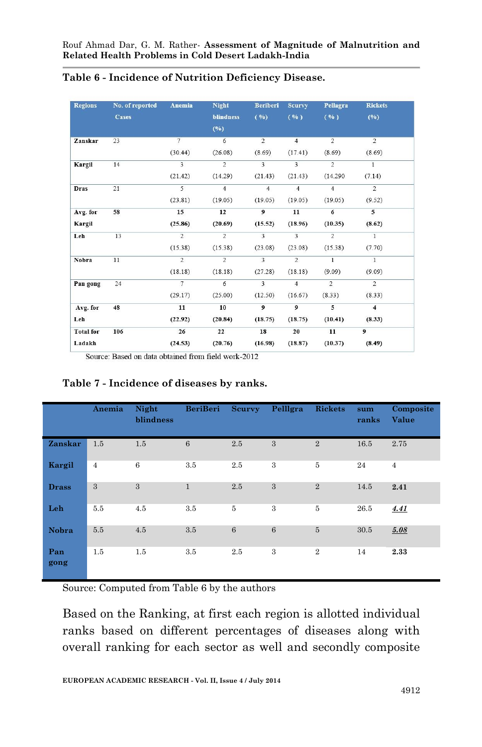| <b>Regions</b>   | No. of reported | Anemia                  | <b>Night</b>     | <b>Beriberi</b>         | <b>Scurvy</b>           | Pellagra       | <b>Rickets</b> |
|------------------|-----------------|-------------------------|------------------|-------------------------|-------------------------|----------------|----------------|
|                  | <b>Cases</b>    |                         | <b>blindness</b> | ( %)                    | ( %)                    | ( %)           | (%)            |
|                  |                 |                         | (%)              |                         |                         |                |                |
| Zanskar          | 23              | 7                       | 6                | $\overline{2}$          | $\overline{4}$          | $\overline{2}$ | $\overline{2}$ |
|                  |                 | (30.44)                 | (26.08)          | (8.69)                  | (17.41)                 | (8.69)         | (8.69)         |
| Kargil           | 14              | $\overline{\mathbf{3}}$ | $\overline{2}$   | $\overline{\mathbf{3}}$ | $\overline{\mathbf{3}}$ | $\overline{2}$ | $\overline{1}$ |
|                  |                 | (21.42)                 | (14.29)          | (21.43)                 | (21.43)                 | (14.290)       | (7.14)         |
| <b>Dras</b>      | 21              | $\overline{5}$          | $\overline{4}$   | $\overline{4}$          | $\overline{4}$          | $\overline{4}$ | $\overline{2}$ |
|                  |                 | (23.81)                 | (19.05)          | (19.05)                 | (19.05)                 | (19.05)        | (9.52)         |
| Avg. for         | 58              | 15                      | 12               | $\overline{9}$          | 11                      | $\overline{6}$ | $\overline{5}$ |
| <b>Kargil</b>    |                 | (25.86)                 | (20.69)          | (15.52)                 | (18.96)                 | (10.35)        | (8.62)         |
| Leh              | 13              | $\overline{2}$          | $\overline{2}$   | $\overline{3}$          | $\overline{\mathbf{3}}$ | $\overline{2}$ | $\overline{1}$ |
|                  |                 | (15.38)                 | (15.38)          | (23.08)                 | (23.08)                 | (15.38)        | (7.70)         |
| Nobra            | 11              | $\overline{2}$          | $\overline{2}$   | $\overline{\mathbf{3}}$ | $\overline{2}$          | $\mathbf{1}$   | $\overline{1}$ |
|                  |                 | (18.18)                 | (18.18)          | (27.28)                 | (18.18)                 | (9.09)         | (9.09)         |
| Pan gong         | 24              | $\tau$                  | 6                | $\overline{3}$          | $\overline{4}$          | $\overline{2}$ | 2              |
|                  |                 | (29.17)                 | (25.00)          | (12.50)                 | (16.67)                 | (8.33)         | (8.33)         |
| Avg. for         | 48              | 11                      | 10               | $\overline{9}$          | $\overline{9}$          | $\overline{5}$ | $\overline{4}$ |
| Leh              |                 | (22.92)                 | (20.84)          | (18.75)                 | (18.75)                 | (10.41)        | (8.33)         |
| <b>Total</b> for | 106             | 26                      | 22               | 18                      | 20                      | 11             | $\overline{9}$ |
| Ladakh           |                 | (24.53)                 | (20.76)          | (16.98)                 | (18.87)                 | (10.37)        | (8.49)         |

#### **Table 6 - Incidence of Nutrition Deficiency Disease.**

Source: Based on data obtained from field work-2012

#### **Anemia Night blindness BeriBeri Scurvy Pelllgra Rickets sum ranks Composite Value Zanskar** 1.5 1.5 6 2.5 3 2 16.5 2.75 **Kargil** 4 6 3.5 2.5 3 5 24 4 **Drass** 3 3 1 2.5 3 2 14.5 **2.41 Leh** 5.5 4.5 3.5 5 3 5 26.5 *4.41* **Nobra** 5.5 4.5 3.5 6 6 5 30.5 *5.08* **Pan gong** 1.5 1.5 3.5 2.5 3 2 14 **2.33**

#### **Table 7 - Incidence of diseases by ranks.**

Source: Computed from Table 6 by the authors

Based on the Ranking, at first each region is allotted individual ranks based on different percentages of diseases along with overall ranking for each sector as well and secondly composite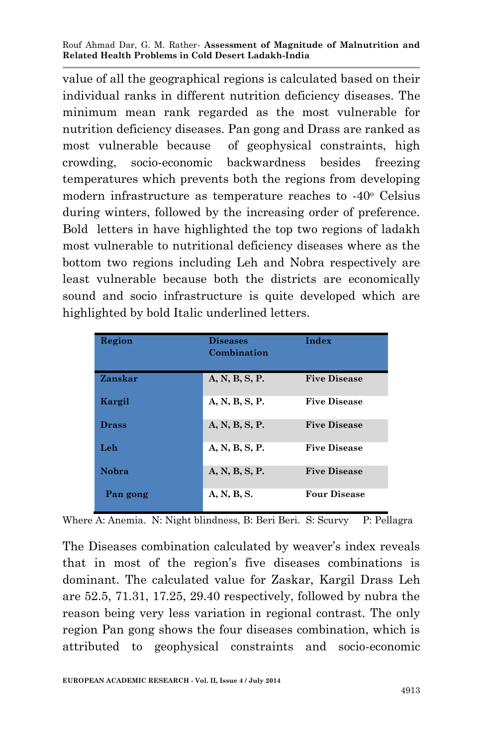value of all the geographical regions is calculated based on their individual ranks in different nutrition deficiency diseases. The minimum mean rank regarded as the most vulnerable for nutrition deficiency diseases. Pan gong and Drass are ranked as most vulnerable because of geophysical constraints, high crowding, socio-economic backwardness besides freezing temperatures which prevents both the regions from developing modern infrastructure as temperature reaches to -40<sup>o</sup> Celsius during winters, followed by the increasing order of preference. Bold letters in have highlighted the top two regions of ladakh most vulnerable to nutritional deficiency diseases where as the bottom two regions including Leh and Nobra respectively are least vulnerable because both the districts are economically sound and socio infrastructure is quite developed which are highlighted by bold Italic underlined letters.

| Region       | <b>Diseases</b><br>Combination | Index               |
|--------------|--------------------------------|---------------------|
| Zanskar      | A, N, B, S, P.                 | <b>Five Disease</b> |
| Kargil       | A, N, B, S, P.                 | <b>Five Disease</b> |
| <b>Drass</b> | A, N, B, S, P.                 | <b>Five Disease</b> |
| Leh          | A, N, B, S, P.                 | <b>Five Disease</b> |
| <b>Nobra</b> | A, N, B, S, P.                 | <b>Five Disease</b> |
| Pan gong     | A, N, B, S.                    | <b>Four Disease</b> |

Where A: Anemia. N: Night blindness, B: Beri Beri. S: Scurvy P: Pellagra

The Diseases combination calculated by weaver's index reveals that in most of the region's five diseases combinations is dominant. The calculated value for Zaskar, Kargil Drass Leh are 52.5, 71.31, 17.25, 29.40 respectively, followed by nubra the reason being very less variation in regional contrast. The only region Pan gong shows the four diseases combination, which is attributed to geophysical constraints and socio-economic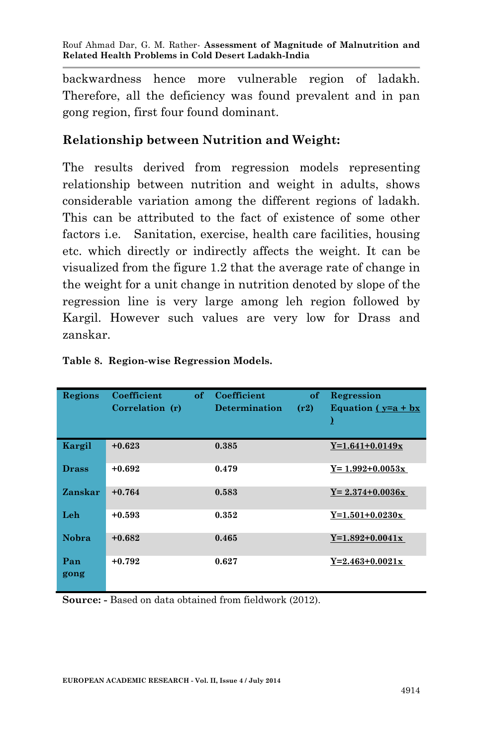backwardness hence more vulnerable region of ladakh. Therefore, all the deficiency was found prevalent and in pan gong region, first four found dominant.

# **Relationship between Nutrition and Weight:**

The results derived from regression models representing relationship between nutrition and weight in adults, shows considerable variation among the different regions of ladakh. This can be attributed to the fact of existence of some other factors i.e. Sanitation, exercise, health care facilities, housing etc. which directly or indirectly affects the weight. It can be visualized from the figure 1.2 that the average rate of change in the weight for a unit change in nutrition denoted by slope of the regression line is very large among leh region followed by Kargil. However such values are very low for Drass and zanskar.

| Regions      | Coefficient<br>Correlation (r) | of | Coefficient<br><b>Determination</b> | of<br>(r2) | Regression<br>Equation $(y=a + bx$<br>Σ |
|--------------|--------------------------------|----|-------------------------------------|------------|-----------------------------------------|
| Kargil       | $+0.623$                       |    | 0.385                               |            | $Y=1.641+0.0149x$                       |
| <b>Drass</b> | $+0.692$                       |    | 0.479                               |            | $Y = 1.992 + 0.0053x$                   |
| Zanskar      | $+0.764$                       |    | 0.583                               |            | $Y = 2.374 + 0.0036x$                   |
| Leh          | $+0.593$                       |    | 0.352                               |            | $Y=1.501+0.0230x$                       |
| <b>Nobra</b> | $+0.682$                       |    | 0.465                               |            | $Y=1.892+0.0041x$                       |
| Pan<br>gong  | $+0.792$                       |    | 0.627                               |            | $Y=2.463+0.0021x$                       |

|  | Table 8. Region-wise Regression Models. |  |  |
|--|-----------------------------------------|--|--|
|--|-----------------------------------------|--|--|

**Source: -** Based on data obtained from fieldwork (2012).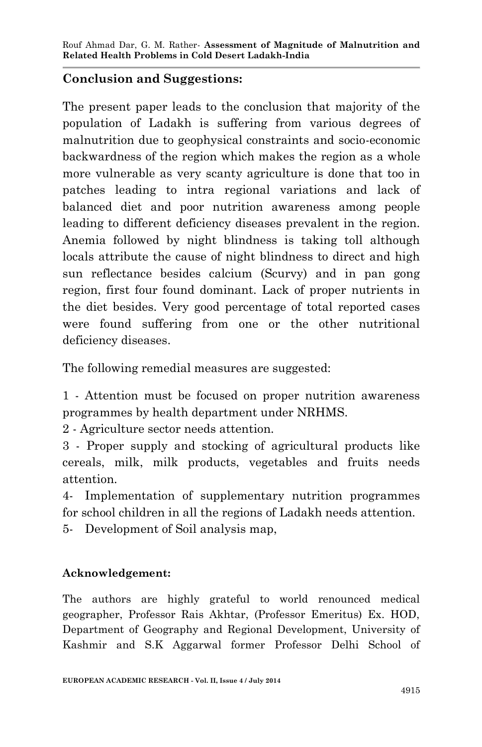# **Conclusion and Suggestions:**

The present paper leads to the conclusion that majority of the population of Ladakh is suffering from various degrees of malnutrition due to geophysical constraints and socio-economic backwardness of the region which makes the region as a whole more vulnerable as very scanty agriculture is done that too in patches leading to intra regional variations and lack of balanced diet and poor nutrition awareness among people leading to different deficiency diseases prevalent in the region. Anemia followed by night blindness is taking toll although locals attribute the cause of night blindness to direct and high sun reflectance besides calcium (Scurvy) and in pan gong region, first four found dominant. Lack of proper nutrients in the diet besides. Very good percentage of total reported cases were found suffering from one or the other nutritional deficiency diseases.

The following remedial measures are suggested:

1 - Attention must be focused on proper nutrition awareness programmes by health department under NRHMS.

2 - Agriculture sector needs attention.

3 - Proper supply and stocking of agricultural products like cereals, milk, milk products, vegetables and fruits needs attention.

4- Implementation of supplementary nutrition programmes for school children in all the regions of Ladakh needs attention.

5- Development of Soil analysis map,

# **Acknowledgement:**

The authors are highly grateful to world renounced medical geographer, Professor Rais Akhtar, (Professor Emeritus) Ex. HOD, Department of Geography and Regional Development, University of Kashmir and S.K Aggarwal former Professor Delhi School of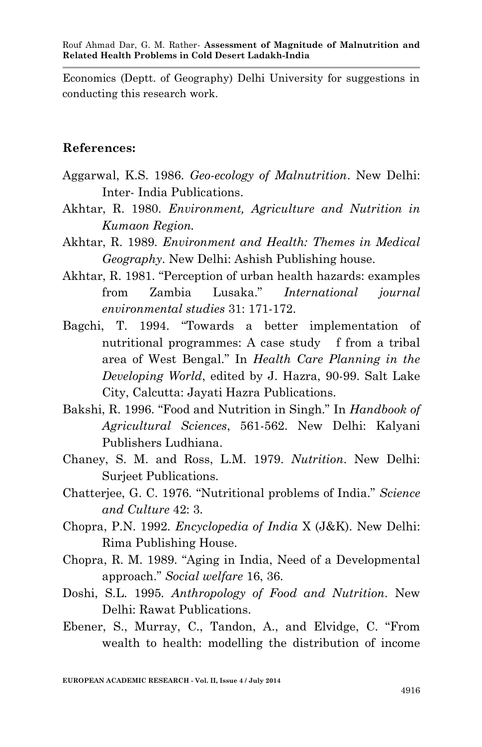Economics (Deptt. of Geography) Delhi University for suggestions in conducting this research work.

## **References:**

- Aggarwal, K.S. 1986. *Geo-ecology of Malnutrition*. New Delhi: Inter- India Publications.
- Akhtar, R. 1980. *Environment, Agriculture and Nutrition in Kumaon Region.*
- Akhtar, R. 1989. *Environment and Health: Themes in Medical Geography*. New Delhi: Ashish Publishing house.
- Akhtar, R. 1981. "Perception of urban health hazards: examples from Zambia Lusaka." *International journal environmental studies* 31: 171-172.
- Bagchi, T. 1994. "Towards a better implementation of nutritional programmes: A case study f from a tribal area of West Bengal." In *Health Care Planning in the Developing World*, edited by J. Hazra, 90-99. Salt Lake City, Calcutta: Jayati Hazra Publications.
- Bakshi, R. 1996. "Food and Nutrition in Singh." In *Handbook of Agricultural Sciences*, 561-562. New Delhi: Kalyani Publishers Ludhiana.
- Chaney, S. M. and Ross, L.M. 1979. *Nutrition*. New Delhi: Surjeet Publications.
- Chatterjee, G. C. 1976. "Nutritional problems of India." *Science and Culture* 42: 3.
- Chopra, P.N. 1992. *Encyclopedia of India* X (J&K). New Delhi: Rima Publishing House.
- Chopra, R. M. 1989. "Aging in India, Need of a Developmental approach." *Social welfare* 16, 36.
- Doshi, S.L. 1995. *Anthropology of Food and Nutrition*. New Delhi: Rawat Publications.
- Ebener, S., Murray, C., Tandon, A., and Elvidge, C. "From wealth to health: modelling the distribution of income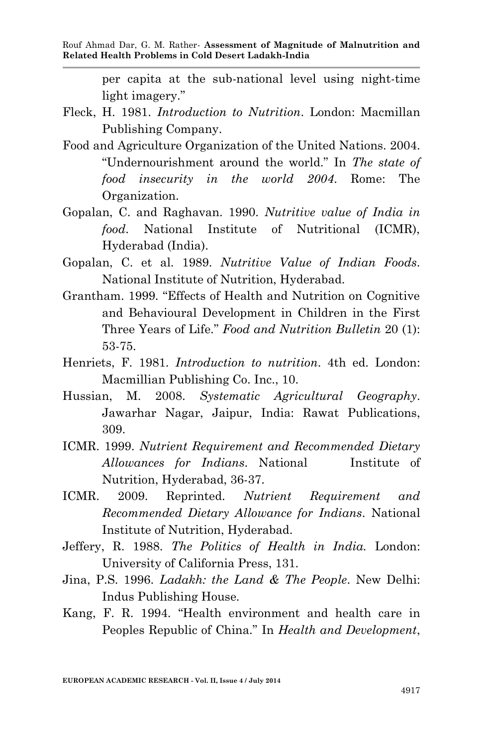per capita at the sub-national level using night-time light imagery."

- Fleck, H. 1981. *Introduction to Nutrition*. London: Macmillan Publishing Company.
- Food and Agriculture Organization of the United Nations. 2004. "Undernourishment around the world." In *The state of food insecurity in the world 2004*. Rome: The Organization.
- Gopalan, C. and Raghavan. 1990. *Nutritive value of India in food*. National Institute of Nutritional (ICMR), Hyderabad (India).
- Gopalan, C. et al. 1989. *Nutritive Value of Indian Foods*. National Institute of Nutrition, Hyderabad.
- Grantham. 1999. "Effects of Health and Nutrition on Cognitive and Behavioural Development in Children in the First Three Years of Life." *Food and Nutrition Bulletin* 20 (1): 53-75.
- Henriets, F. 1981. *Introduction to nutrition*. 4th ed. London: Macmillian Publishing Co. Inc., 10.
- Hussian, M. 2008. *Systematic Agricultural Geography*. Jawarhar Nagar, Jaipur, India: Rawat Publications, 309.
- ICMR. 1999. *Nutrient Requirement and Recommended Dietary Allowances for Indians*. National Institute of Nutrition, Hyderabad, 36-37.
- ICMR. 2009. Reprinted. *Nutrient Requirement and Recommended Dietary Allowance for Indians*. National Institute of Nutrition, Hyderabad.
- Jeffery, R. 1988. *The Politics of Health in India.* London: University of California Press, 131.
- Jina, P.S. 1996. *Ladakh: the Land & The People*. New Delhi: Indus Publishing House.
- Kang, F. R. 1994. "Health environment and health care in Peoples Republic of China." In *Health and Development*,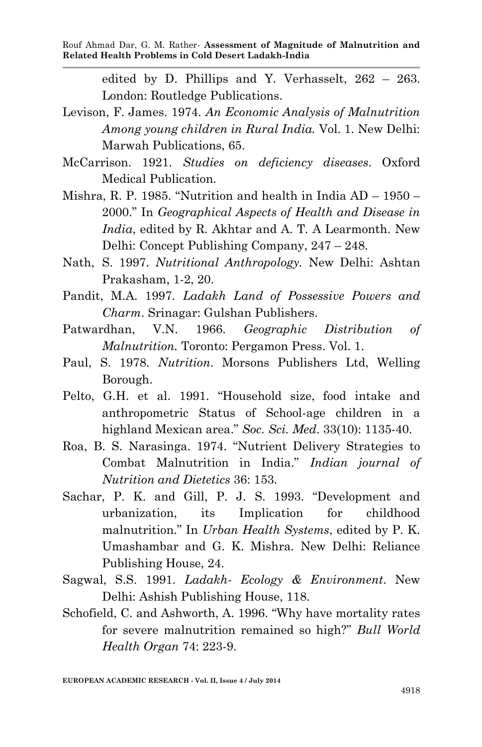edited by D. Phillips and Y. Verhasselt, 262 – 263. London: Routledge Publications.

Levison, F. James. 1974. *An Economic Analysis of Malnutrition Among young children in Rural India.* Vol. 1. New Delhi: Marwah Publications, 65.

McCarrison. 1921. *Studies on deficiency diseases*. Oxford Medical Publication.

- Mishra, R. P. 1985. "Nutrition and health in India AD 1950 2000." In *Geographical Aspects of Health and Disease in India*, edited by R. Akhtar and A. T. A Learmonth. New Delhi: Concept Publishing Company, 247 – 248.
- Nath, S. 1997. *Nutritional Anthropology.* New Delhi: Ashtan Prakasham, 1-2, 20.
- Pandit, M.A. 1997. *Ladakh Land of Possessive Powers and Charm*. Srinagar: Gulshan Publishers.
- Patwardhan, V.N. 1966. *Geographic Distribution of Malnutrition.* Toronto: Pergamon Press. Vol. 1.
- Paul, S. 1978. *Nutrition*. Morsons Publishers Ltd, Welling Borough.
- Pelto, G.H. et al. 1991. "Household size, food intake and anthropometric Status of School-age children in a highland Mexican area." *Soc. Sci. Med*. 33(10): 1135-40.
- Roa, B. S. Narasinga. 1974. "Nutrient Delivery Strategies to Combat Malnutrition in India." *Indian journal of Nutrition and Dietetics* 36: 153.
- Sachar, P. K. and Gill, P. J. S. 1993. "Development and urbanization, its Implication for childhood malnutrition." In *Urban Health Systems*, edited by P. K. Umashambar and G. K. Mishra. New Delhi: Reliance Publishing House, 24.
- Sagwal, S.S. 1991. *Ladakh- Ecology & Environment*. New Delhi: Ashish Publishing House, 118.
- Schofield, C. and Ashworth, A. 1996. "Why have mortality rates for severe malnutrition remained so high?" *Bull World Health Organ* 74: 223-9.